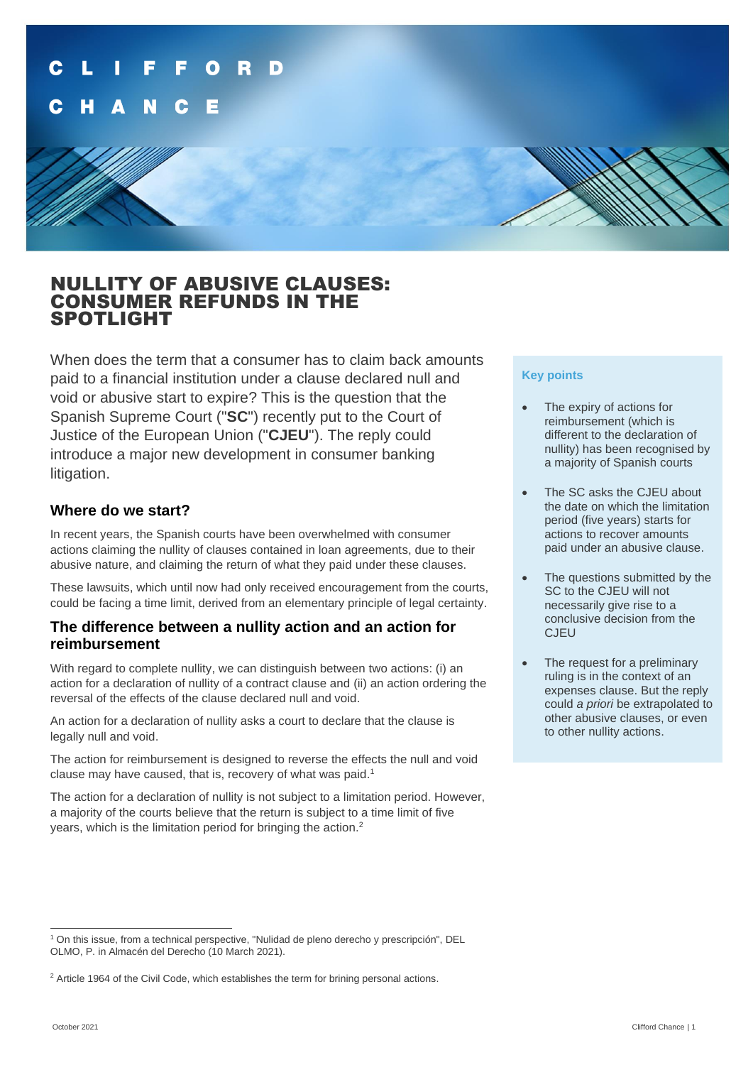

# NULLITY OF ABUSIVE CLAUSES: CONSUMER REFUNDS IN THE SPOTLIGHT

When does the term that a consumer has to claim back amounts paid to a financial institution under a clause declared null and void or abusive start to expire? This is the question that the Spanish Supreme Court ("**SC**") recently put to the Court of Justice of the European Union ("**CJEU**"). The reply could introduce a major new development in consumer banking litigation.

#### **Where do we start?**

In recent years, the Spanish courts have been overwhelmed with consumer actions claiming the nullity of clauses contained in loan agreements, due to their abusive nature, and claiming the return of what they paid under these clauses.

These lawsuits, which until now had only received encouragement from the courts, could be facing a time limit, derived from an elementary principle of legal certainty.

#### **The difference between a nullity action and an action for reimbursement**

With regard to complete nullity, we can distinguish between two actions: (i) an action for a declaration of nullity of a contract clause and (ii) an action ordering the reversal of the effects of the clause declared null and void.

An action for a declaration of nullity asks a court to declare that the clause is legally null and void.

The action for reimbursement is designed to reverse the effects the null and void clause may have caused, that is, recovery of what was paid.<sup>1</sup>

The action for a declaration of nullity is not subject to a limitation period. However, a majority of the courts believe that the return is subject to a time limit of five years, which is the limitation period for bringing the action.<sup>2</sup>

#### **Key points**

- The expiry of actions for reimbursement (which is different to the declaration of nullity) has been recognised by a majority of Spanish courts
- The SC asks the CJEU about the date on which the limitation period (five years) starts for actions to recover amounts paid under an abusive clause.
- The questions submitted by the SC to the CJEU will not necessarily give rise to a conclusive decision from the **CJEU**
- The request for a preliminary ruling is in the context of an expenses clause. But the reply could *a priori* be extrapolated to other abusive clauses, or even to other nullity actions.

<sup>1</sup> On this issue, from a technical perspective, "Nulidad de pleno derecho y prescripción", DEL OLMO, P. in Almacén del Derecho (10 March 2021).

<sup>&</sup>lt;sup>2</sup> Article 1964 of the Civil Code, which establishes the term for brining personal actions.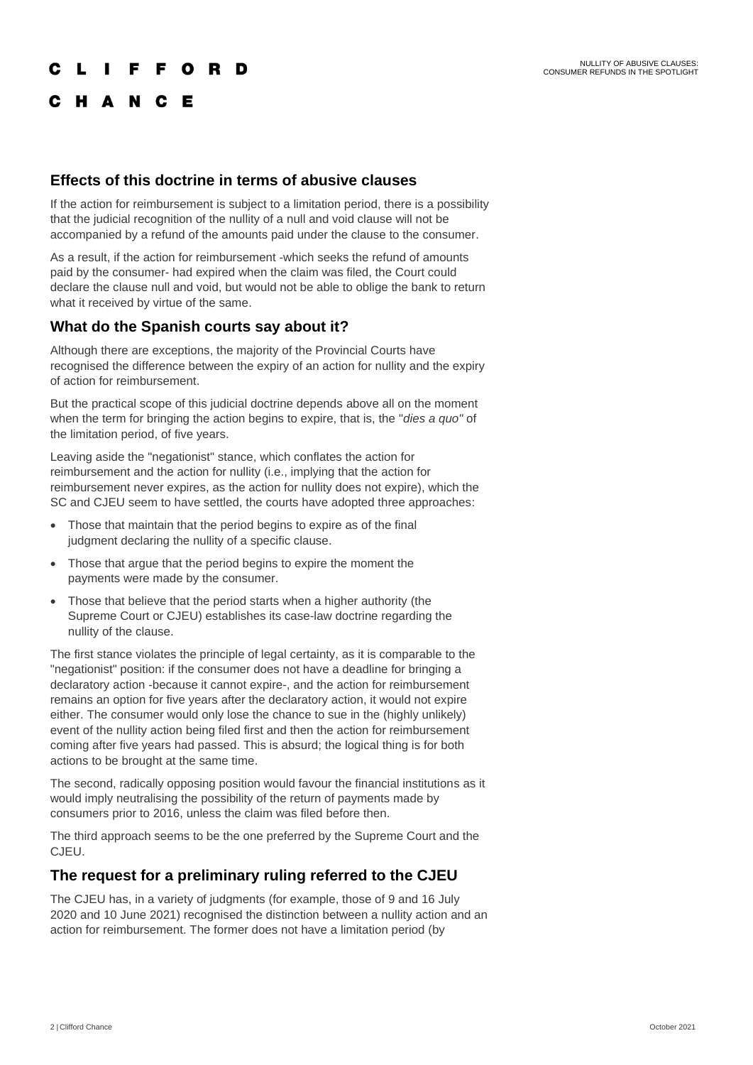# **IFFORD**

# C H A N C E

#### **Effects of this doctrine in terms of abusive clauses**

If the action for reimbursement is subject to a limitation period, there is a possibility that the judicial recognition of the nullity of a null and void clause will not be accompanied by a refund of the amounts paid under the clause to the consumer.

As a result, if the action for reimbursement -which seeks the refund of amounts paid by the consumer- had expired when the claim was filed, the Court could declare the clause null and void, but would not be able to oblige the bank to return what it received by virtue of the same.

### **What do the Spanish courts say about it?**

Although there are exceptions, the majority of the Provincial Courts have recognised the difference between the expiry of an action for nullity and the expiry of action for reimbursement.

But the practical scope of this judicial doctrine depends above all on the moment when the term for bringing the action begins to expire, that is, the "*dies a quo"* of the limitation period, of five years.

Leaving aside the "negationist" stance, which conflates the action for reimbursement and the action for nullity (i.e., implying that the action for reimbursement never expires, as the action for nullity does not expire), which the SC and CJEU seem to have settled, the courts have adopted three approaches:

- Those that maintain that the period begins to expire as of the final judgment declaring the nullity of a specific clause.
- Those that argue that the period begins to expire the moment the payments were made by the consumer.
- Those that believe that the period starts when a higher authority (the Supreme Court or CJEU) establishes its case-law doctrine regarding the nullity of the clause.

The first stance violates the principle of legal certainty, as it is comparable to the "negationist" position: if the consumer does not have a deadline for bringing a declaratory action -because it cannot expire-, and the action for reimbursement remains an option for five years after the declaratory action, it would not expire either. The consumer would only lose the chance to sue in the (highly unlikely) event of the nullity action being filed first and then the action for reimbursement coming after five years had passed. This is absurd; the logical thing is for both actions to be brought at the same time.

The second, radically opposing position would favour the financial institutions as it would imply neutralising the possibility of the return of payments made by consumers prior to 2016, unless the claim was filed before then.

The third approach seems to be the one preferred by the Supreme Court and the CJEU.

#### **The request for a preliminary ruling referred to the CJEU**

The CJEU has, in a variety of judgments (for example, those of 9 and 16 July 2020 and 10 June 2021) recognised the distinction between a nullity action and an action for reimbursement. The former does not have a limitation period (by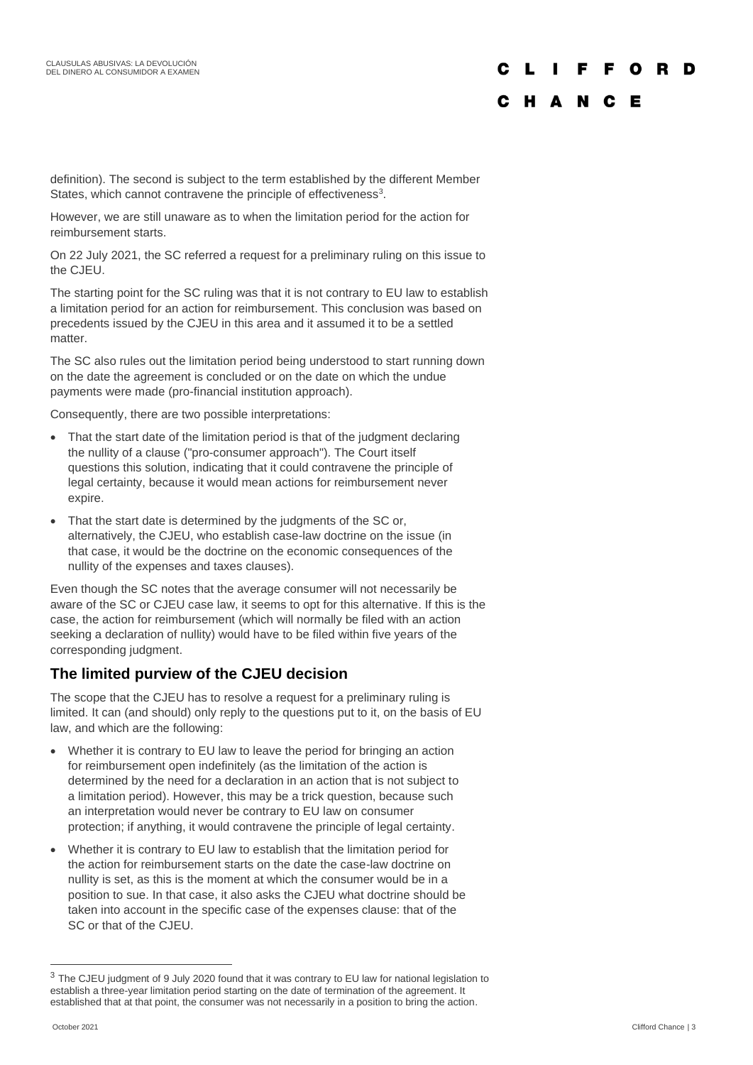#### F F O R D п. C H A N C E

definition). The second is subject to the term established by the different Member States, which cannot contravene the principle of effectiveness $3$ .

However, we are still unaware as to when the limitation period for the action for reimbursement starts.

On 22 July 2021, the SC referred a request for a preliminary ruling on this issue to the CJEU.

The starting point for the SC ruling was that it is not contrary to EU law to establish a limitation period for an action for reimbursement. This conclusion was based on precedents issued by the CJEU in this area and it assumed it to be a settled matter.

The SC also rules out the limitation period being understood to start running down on the date the agreement is concluded or on the date on which the undue payments were made (pro-financial institution approach).

Consequently, there are two possible interpretations:

- That the start date of the limitation period is that of the judgment declaring the nullity of a clause ("pro-consumer approach"). The Court itself questions this solution, indicating that it could contravene the principle of legal certainty, because it would mean actions for reimbursement never expire.
- That the start date is determined by the judgments of the SC or, alternatively, the CJEU, who establish case-law doctrine on the issue (in that case, it would be the doctrine on the economic consequences of the nullity of the expenses and taxes clauses).

Even though the SC notes that the average consumer will not necessarily be aware of the SC or CJEU case law, it seems to opt for this alternative. If this is the case, the action for reimbursement (which will normally be filed with an action seeking a declaration of nullity) would have to be filed within five years of the corresponding judgment.

# **The limited purview of the CJEU decision**

The scope that the CJEU has to resolve a request for a preliminary ruling is limited. It can (and should) only reply to the questions put to it, on the basis of EU law, and which are the following:

- Whether it is contrary to EU law to leave the period for bringing an action for reimbursement open indefinitely (as the limitation of the action is determined by the need for a declaration in an action that is not subject to a limitation period). However, this may be a trick question, because such an interpretation would never be contrary to EU law on consumer protection; if anything, it would contravene the principle of legal certainty.
- Whether it is contrary to EU law to establish that the limitation period for the action for reimbursement starts on the date the case-law doctrine on nullity is set, as this is the moment at which the consumer would be in a position to sue. In that case, it also asks the CJEU what doctrine should be taken into account in the specific case of the expenses clause: that of the SC or that of the CJEU.

<sup>3</sup> The CJEU judgment of 9 July 2020 found that it was contrary to EU law for national legislation to establish a three-year limitation period starting on the date of termination of the agreement. It established that at that point, the consumer was not necessarily in a position to bring the action.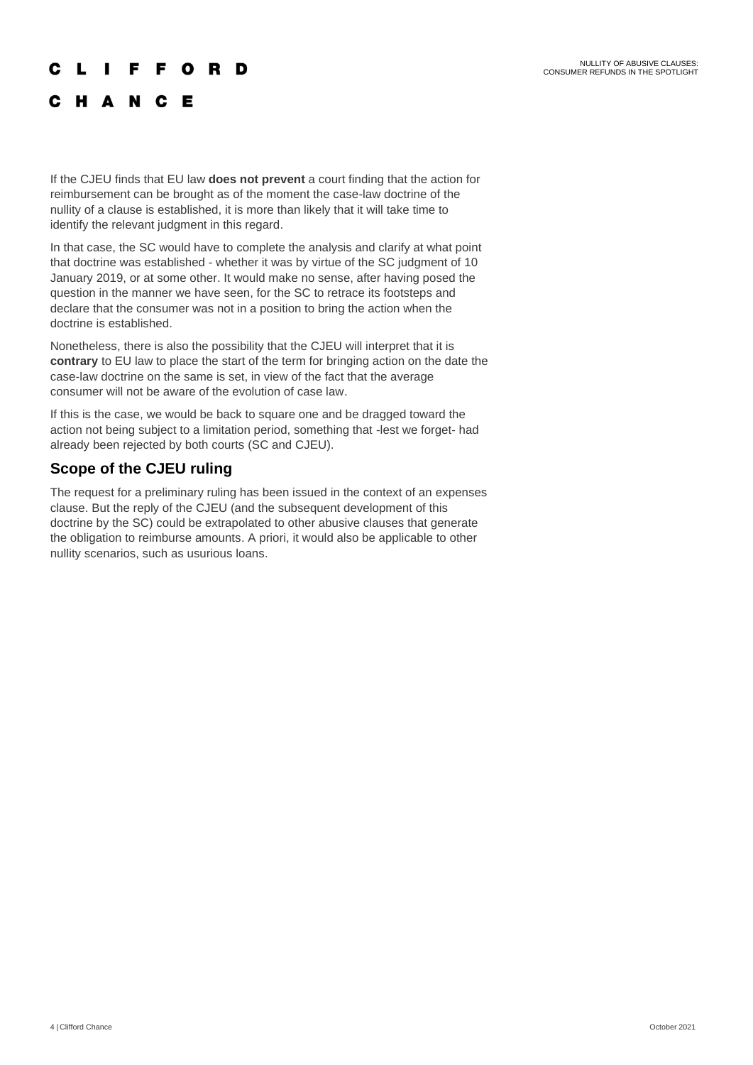#### **IFFORD**  $\mathbf{I}$

# C H A N C E

If the CJEU finds that EU law **does not prevent** a court finding that the action for reimbursement can be brought as of the moment the case-law doctrine of the nullity of a clause is established, it is more than likely that it will take time to identify the relevant judgment in this regard.

In that case, the SC would have to complete the analysis and clarify at what point that doctrine was established - whether it was by virtue of the SC judgment of 10 January 2019, or at some other. It would make no sense, after having posed the question in the manner we have seen, for the SC to retrace its footsteps and declare that the consumer was not in a position to bring the action when the doctrine is established.

Nonetheless, there is also the possibility that the CJEU will interpret that it is **contrary** to EU law to place the start of the term for bringing action on the date the case-law doctrine on the same is set, in view of the fact that the average consumer will not be aware of the evolution of case law.

If this is the case, we would be back to square one and be dragged toward the action not being subject to a limitation period, something that -lest we forget- had already been rejected by both courts (SC and CJEU).

## **Scope of the CJEU ruling**

The request for a preliminary ruling has been issued in the context of an expenses clause. But the reply of the CJEU (and the subsequent development of this doctrine by the SC) could be extrapolated to other abusive clauses that generate the obligation to reimburse amounts. A priori, it would also be applicable to other nullity scenarios, such as usurious loans.